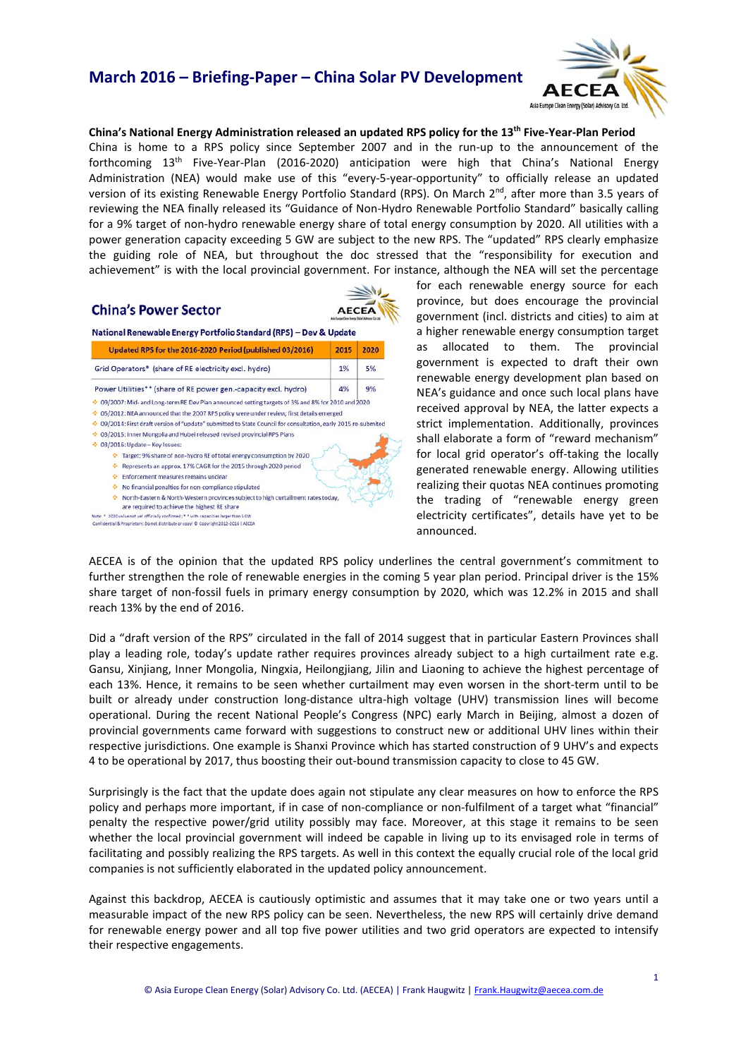# **March 2016 – Briefing-Paper – China Solar PV Development**



**China's National Energy Administration released an updated RPS policy for the 13th Five-Year-Plan Period** China is home to a RPS policy since September 2007 and in the run-up to the announcement of the forthcoming 13th Five-Year-Plan (2016-2020) anticipation were high that China's National Energy Administration (NEA) would make use of this "every-5-year-opportunity" to officially release an updated version of its existing Renewable Energy Portfolio Standard (RPS). On March 2nd, after more than 3.5 years of reviewing the NEA finally released its "Guidance of Non-Hydro Renewable Portfolio Standard" basically calling for a 9% target of non-hydro renewable energy share of total energy consumption by 2020. All utilities with a power generation capacity exceeding 5 GW are subject to the new RPS. The "updated" RPS clearly emphasize the guiding role of NEA, but throughout the doc stressed that the "responsibility for execution and achievement" is with the local provincial government. For instance, although the NEA will set the percentage

## **China's Power Sector**

Confidential & Proprietary: Do not distribute or copy! @ Copyright 2012-2016 | AECE/



National Renewable Energy Portfolio Standard (RPS) - Dev & Update

| Updated RPS for the 2016-2020 Period (published 03/2016)                                                                              | 2015 | 2020 |
|---------------------------------------------------------------------------------------------------------------------------------------|------|------|
| Grid Operators* (share of RE electricity excl. hydro)                                                                                 | 1%   | 5%   |
| Power Utilities** (share of RE power gen.-capacity excl. hydro)                                                                       | 4%   | 9%   |
| ☆ 09/2007: Mid- and Long-term RE Dev Plan announced setting targets of 3% and 8% for 2010 and 2020                                    |      |      |
| 05/2012: NEA announced that the 2007 RPS policy were under review, first details emerged<br>۰                                         |      |      |
| 09/2014: First draft version of "update" submitted to State Council for consultation, early 2015 re-submited<br>۰                     |      |      |
| 03/2015: Inner Mongolia and Hubei released revised provincial RPS Plans<br>۰                                                          |      |      |
| ↔ 03/2016: Update - Key Issues:                                                                                                       |      |      |
| Target: 9% share of non-hydro RE of total energy consumption by 2020                                                                  |      |      |
| Represents an approx. 17% CAGR for the 2015 through 2020 period<br>۰                                                                  |      |      |
| Enforcement measures remains unclear<br>÷                                                                                             |      |      |
| No financial penalties for non-compliance stipulated<br>۰                                                                             |      |      |
| North-Eastern & North-Western provinces subject to high curtailment rates today,<br>۰<br>are required to achieve the highest RE share |      |      |
| 2020 value not yet officially confirmed: * * with capacities larger than 5 GW<br>Note:                                                |      |      |

for each renewable energy source for each province, but does encourage the provincial government (incl. districts and cities) to aim at a higher renewable energy consumption target as allocated to them. The provincial government is expected to draft their own renewable energy development plan based on NEA's guidance and once such local plans have received approval by NEA, the latter expects a strict implementation. Additionally, provinces shall elaborate a form of "reward mechanism" for local grid operator's off-taking the locally generated renewable energy. Allowing utilities realizing their quotas NEA continues promoting the trading of "renewable energy green electricity certificates", details have yet to be announced.

AECEA is of the opinion that the updated RPS policy underlines the central government's commitment to further strengthen the role of renewable energies in the coming 5 year plan period. Principal driver is the 15% share target of non-fossil fuels in primary energy consumption by 2020, which was 12.2% in 2015 and shall reach 13% by the end of 2016.

Did a "draft version of the RPS" circulated in the fall of 2014 suggest that in particular Eastern Provinces shall play a leading role, today's update rather requires provinces already subject to a high curtailment rate e.g. Gansu, Xinjiang, Inner Mongolia, Ningxia, Heilongjiang, Jilin and Liaoning to achieve the highest percentage of each 13%. Hence, it remains to be seen whether curtailment may even worsen in the short-term until to be built or already under construction long-distance ultra-high voltage (UHV) transmission lines will become operational. During the recent National People's Congress (NPC) early March in Beijing, almost a dozen of provincial governments came forward with suggestions to construct new or additional UHV lines within their respective jurisdictions. One example is Shanxi Province which has started construction of 9 UHV's and expects 4 to be operational by 2017, thus boosting their out-bound transmission capacity to close to 45 GW.

Surprisingly is the fact that the update does again not stipulate any clear measures on how to enforce the RPS policy and perhaps more important, if in case of non-compliance or non-fulfilment of a target what "financial" penalty the respective power/grid utility possibly may face. Moreover, at this stage it remains to be seen whether the local provincial government will indeed be capable in living up to its envisaged role in terms of facilitating and possibly realizing the RPS targets. As well in this context the equally crucial role of the local grid companies is not sufficiently elaborated in the updated policy announcement.

Against this backdrop, AECEA is cautiously optimistic and assumes that it may take one or two years until a measurable impact of the new RPS policy can be seen. Nevertheless, the new RPS will certainly drive demand for renewable energy power and all top five power utilities and two grid operators are expected to intensify their respective engagements.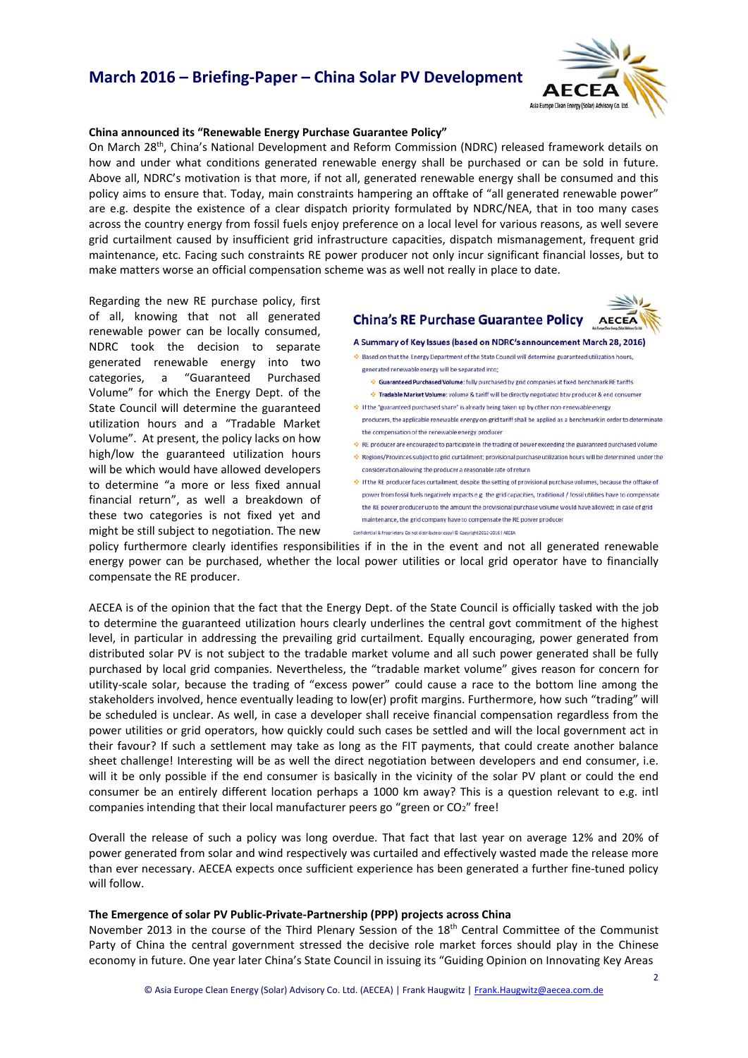# **March 2016 – Briefing-Paper – China Solar PV Development**



## **China announced its "Renewable Energy Purchase Guarantee Policy"**

On March 28th, China's National Development and Reform Commission (NDRC) released framework details on how and under what conditions generated renewable energy shall be purchased or can be sold in future. Above all, NDRC's motivation is that more, if not all, generated renewable energy shall be consumed and this policy aims to ensure that. Today, main constraints hampering an offtake of "all generated renewable power" are e.g. despite the existence of a clear dispatch priority formulated by NDRC/NEA, that in too many cases across the country energy from fossil fuels enjoy preference on a local level for various reasons, as well severe grid curtailment caused by insufficient grid infrastructure capacities, dispatch mismanagement, frequent grid maintenance, etc. Facing such constraints RE power producer not only incur significant financial losses, but to make matters worse an official compensation scheme was as well not really in place to date.



Regarding the new RE purchase policy, first of all, knowing that not all generated renewable power can be locally consumed, NDRC took the decision to separate generated renewable energy into two categories, a "Guaranteed Purchased Volume" for which the Energy Dept. of the State Council will determine the guaranteed utilization hours and a "Tradable Market Volume". At present, the policy lacks on how high/low the guaranteed utilization hours will be which would have allowed developers to determine "a more or less fixed annual financial return", as well a breakdown of these two categories is not fixed yet and might be still subject to negotiation. The new

#### A Summary of Key Issues (based on NDRC's announcement March 28, 2016)

**China's RE Purchase Guarantee Policy** 

♦ Based on that the Energy Department of the State Council will determine guaranteed utilization hours. generated renewable energy will be separated into:

- Guaranteed Purchased Volume: fully purchased by grid companies at fixed benchmark RE tariffs
- Tradable Market Volume: volume & tariff will be directly negotiated btw producer & end consumer
- If the "guaranteed purchased share" is already being taken up by other non-renewable energy
- producers, the applicable renewable energy on-grid tariff shall be applied as a benchmark in order to determinate the compensation of the renewable energy producer
- RE producer are encouraged to participate in the trading of power exceeding the guaranteed purchased volu
- Regions/Provinces subject to grid curtailment: provisional purchase utilization hours will be determined under the consideration allowing the producer a reasonable rate of return
- + If the RE producer faces curtailment, despite the setting of provisional purchase volumes, because the offtake of power from fossil fuels negatively impacts e.g. the grid capacities, traditional / fossil utilities have to compensate the RE power producer up to the amount the provisional purchase volume would have allowed: in case of grid maintenance, the grid company have to compensate the RE power producer
- Confidential & Proprietary: Do not distribute or copy! © Copyright 2012-2016 | AECEA

policy furthermore clearly identifies responsibilities if in the in the event and not all generated renewable energy power can be purchased, whether the local power utilities or local grid operator have to financially compensate the RE producer.

AECEA is of the opinion that the fact that the Energy Dept. of the State Council is officially tasked with the job to determine the guaranteed utilization hours clearly underlines the central govt commitment of the highest level, in particular in addressing the prevailing grid curtailment. Equally encouraging, power generated from distributed solar PV is not subject to the tradable market volume and all such power generated shall be fully purchased by local grid companies. Nevertheless, the "tradable market volume" gives reason for concern for utility-scale solar, because the trading of "excess power" could cause a race to the bottom line among the stakeholders involved, hence eventually leading to low(er) profit margins. Furthermore, how such "trading" will be scheduled is unclear. As well, in case a developer shall receive financial compensation regardless from the power utilities or grid operators, how quickly could such cases be settled and will the local government act in their favour? If such a settlement may take as long as the FIT payments, that could create another balance sheet challenge! Interesting will be as well the direct negotiation between developers and end consumer, i.e. will it be only possible if the end consumer is basically in the vicinity of the solar PV plant or could the end consumer be an entirely different location perhaps a 1000 km away? This is a question relevant to e.g. intl companies intending that their local manufacturer peers go "green or CO<sub>2</sub>" free!

Overall the release of such a policy was long overdue. That fact that last year on average 12% and 20% of power generated from solar and wind respectively was curtailed and effectively wasted made the release more than ever necessary. AECEA expects once sufficient experience has been generated a further fine-tuned policy will follow.

### **The Emergence of solar PV Public-Private-Partnership (PPP) projects across China**

November 2013 in the course of the Third Plenary Session of the 18<sup>th</sup> Central Committee of the Communist Party of China the central government stressed the decisive role market forces should play in the Chinese economy in future. One year later China's State Council in issuing its "Guiding Opinion on Innovating Key Areas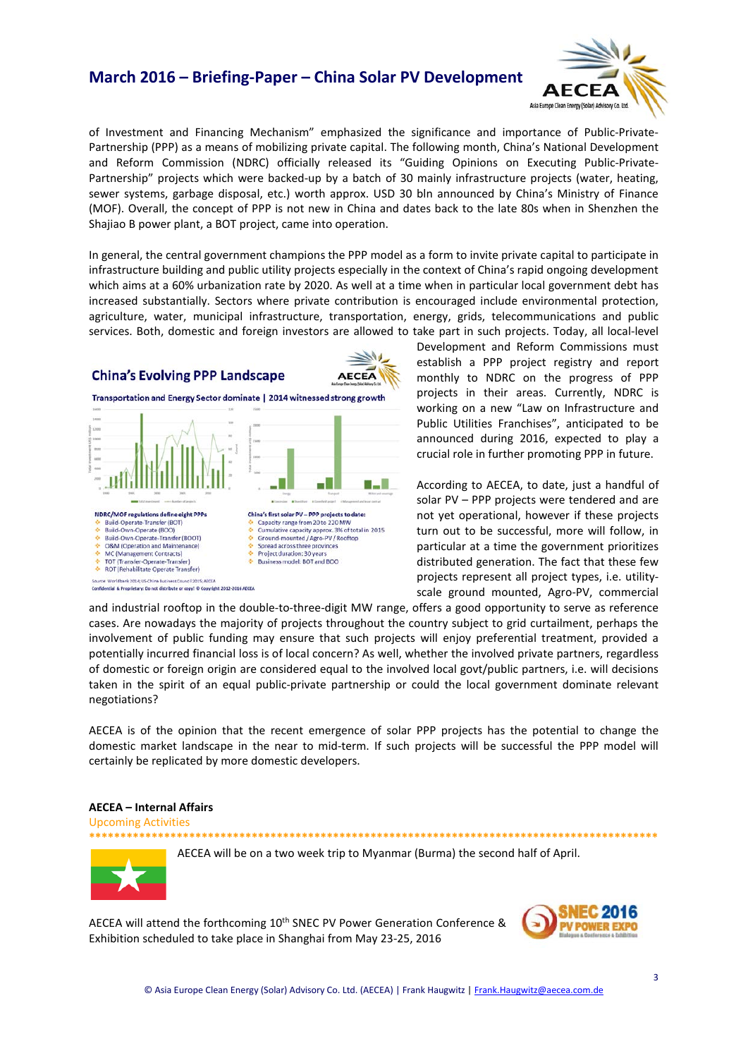## **March 2016 – Briefing-Paper – China Solar PV Development**



of Investment and Financing Mechanism" emphasized the significance and importance of Public-Private-Partnership (PPP) as a means of mobilizing private capital. The following month, China's National Development and Reform Commission (NDRC) officially released its "Guiding Opinions on Executing Public-Private-Partnership" projects which were backed-up by a batch of 30 mainly infrastructure projects (water, heating, sewer systems, garbage disposal, etc.) worth approx. USD 30 bln announced by China's Ministry of Finance (MOF). Overall, the concept of PPP is not new in China and dates back to the late 80s when in Shenzhen the Shajiao B power plant, a BOT project, came into operation.

In general, the central government champions the PPP model as a form to invite private capital to participate in infrastructure building and public utility projects especially in the context of China's rapid ongoing development which aims at a 60% urbanization rate by 2020. As well at a time when in particular local government debt has increased substantially. Sectors where private contribution is encouraged include environmental protection, agriculture, water, municipal infrastructure, transportation, energy, grids, telecommunications and public services. Both, domestic and foreign investors are allowed to take part in such projects. Today, all local-level

## **China's Evolving PPP Landscape**



Transportation and Energy Sector dominate | 2014 witnessed strong growth



Development and Reform Commissions must establish a PPP project registry and report monthly to NDRC on the progress of PPP projects in their areas. Currently, NDRC is working on a new "Law on Infrastructure and Public Utilities Franchises", anticipated to be announced during 2016, expected to play a crucial role in further promoting PPP in future.

According to AECEA, to date, just a handful of solar PV – PPP projects were tendered and are not yet operational, however if these projects turn out to be successful, more will follow, in particular at a time the government prioritizes distributed generation. The fact that these few projects represent all project types, i.e. utilityscale ground mounted, Agro-PV, commercial

and industrial rooftop in the double-to-three-digit MW range, offers a good opportunity to serve as reference cases. Are nowadays the majority of projects throughout the country subject to grid curtailment, perhaps the involvement of public funding may ensure that such projects will enjoy preferential treatment, provided a potentially incurred financial loss is of local concern? As well, whether the involved private partners, regardless of domestic or foreign origin are considered equal to the involved local govt/public partners, i.e. will decisions taken in the spirit of an equal public-private partnership or could the local government dominate relevant negotiations?

AECEA is of the opinion that the recent emergence of solar PPP projects has the potential to change the domestic market landscape in the near to mid-term. If such projects will be successful the PPP model will certainly be replicated by more domestic developers.

### **AECEA – Internal Affairs**

Upcoming Activities

**\*\*\*\*\*\*\*\*\*\*\*\*\*\*\*\*\*\*\*\*\*\*\*\*\*\*\*\*\*\*\*\*\*\*\*\*\*\*\*\*\*\*\*\*\*\*\*\*\*\*\*\*\*\*\*\*\*\*\*\*\*\*\*\*\*\*\*\*\*\*\*\*\*\*\*\*\*\*\*\*\*\*\*\*\*\*\*\*\*\*\***



AECEA will be on a two week trip to Myanmar (Burma) the second half of April.

AECEA will attend the forthcoming 10<sup>th</sup> SNEC PV Power Generation Conference & Exhibition scheduled to take place in Shanghai from May 23-25, 2016